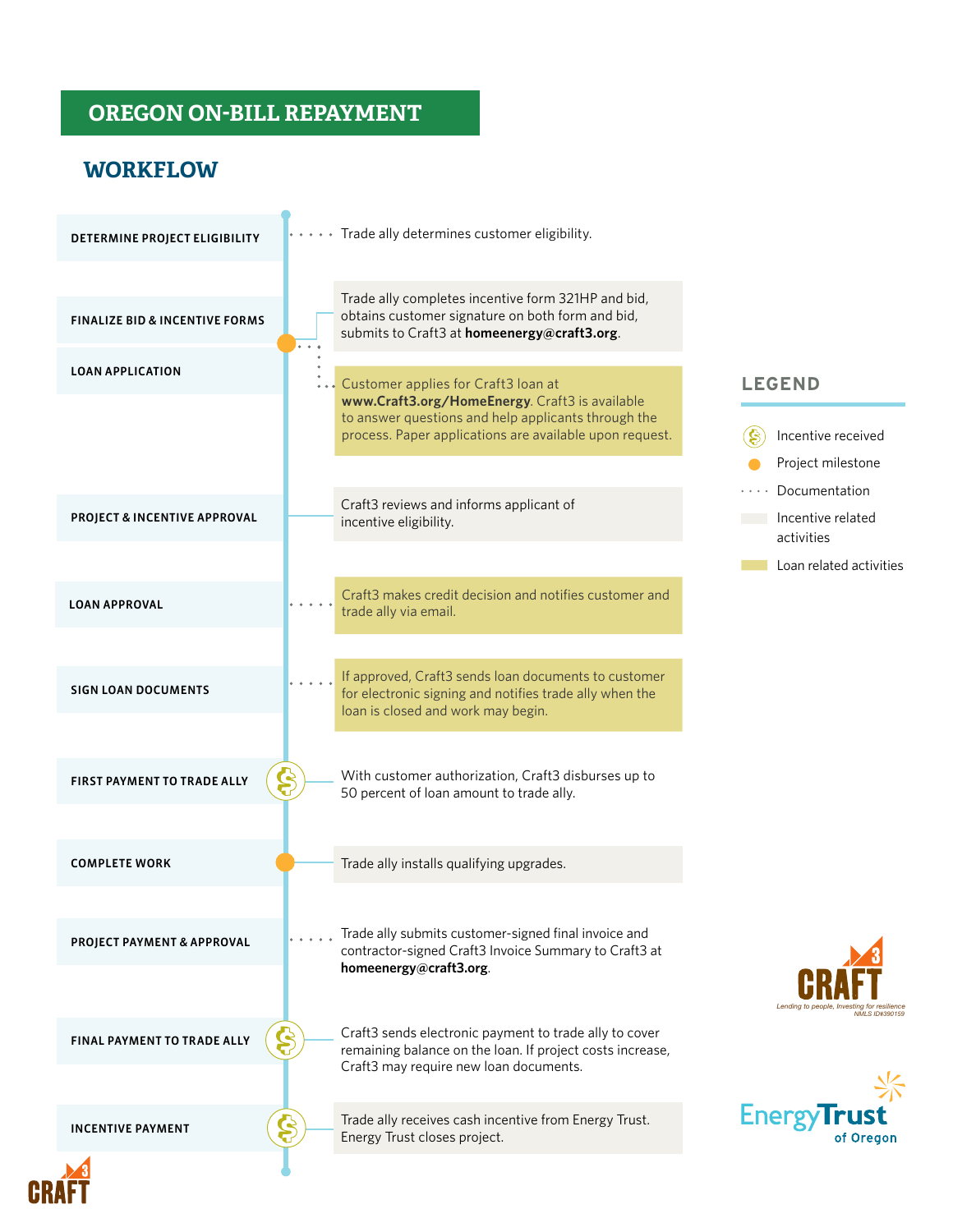# **OREGON ON-BILL REPAYMENT** HEAT PUMP

 $\overline{\phantom{a}}$ 

# **WORKFLOW**

**CRAFT** 

| DETERMINE PROJECT ELIGIBILITY             | $\cdots$ Trade ally determines customer eligibility.                                                                                                                                                    |  |
|-------------------------------------------|---------------------------------------------------------------------------------------------------------------------------------------------------------------------------------------------------------|--|
| <b>FINALIZE BID &amp; INCENTIVE FORMS</b> | Trade ally completes incentive form 321HP and bid,<br>obtains customer signature on both form and bid,<br>submits to Craft3 at homeenergy@craft3.org.                                                   |  |
| <b>LOAN APPLICATION</b>                   | Customer applies for Craft3 loan at<br>www.Craft3.org/HomeEnergy. Craft3 is available<br>to answer questions and help applicants through the<br>process. Paper applications are available upon request. |  |
| PROJECT & INCENTIVE APPROVAL              | Craft3 reviews and informs applicant of<br>incentive eligibility.                                                                                                                                       |  |
| <b>LOAN APPROVAL</b>                      | Craft3 makes credit decision and notifies customer and<br>trade ally via email.                                                                                                                         |  |
| <b>SIGN LOAN DOCUMENTS</b>                | If approved, Craft3 sends loan documents to customer<br>for electronic signing and notifies trade ally when the<br>loan is closed and work may begin.                                                   |  |
| FIRST PAYMENT TO TRADE ALLY               | With customer authorization, Craft3 disburses up to<br>Ş<br>50 percent of loan amount to trade ally.                                                                                                    |  |
| <b>COMPLETE WORK</b>                      | Trade ally installs qualifying upgrades.                                                                                                                                                                |  |
| PROJECT PAYMENT & APPROVAL                | Trade ally submits customer-signed final invoice and<br>contractor-signed Craft3 Invoice Summary to Craft3 at<br>homeenergy@craft3.org.                                                                 |  |
| FINAL PAYMENT TO TRADE ALLY               | Craft3 sends electronic payment to trade ally to cover<br>\$<br>remaining balance on the loan. If project costs increase,<br>Craft3 may require new loan documents.                                     |  |
| <b>INCENTIVE PAYMENT</b>                  | Trade ally receives cash incentive from Energy Trust.<br>Energy Trust closes project.                                                                                                                   |  |
|                                           |                                                                                                                                                                                                         |  |

#### **LEGEND**